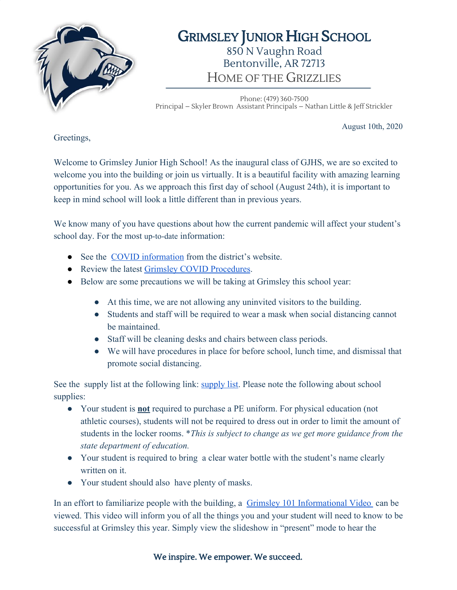

## GRIMSLEY JUNIOR HIGH SCHOOL 850 N Vaughn Road Bentonville, AR 72713 HOME OF THE GRIZZLIES

Phone: (479) 360-7500 Principal – Skyler Brown Assistant Principals – Nathan Little & Jeff Strickler

August 10th, 2020

Greetings,

Welcome to Grimsley Junior High School! As the inaugural class of GJHS, we are so excited to welcome you into the building or join us virtually. It is a beautiful facility with amazing learning opportunities for you. As we approach this first day of school (August 24th), it is important to keep in mind school will look a little different than in previous years.

We know many of you have questions about how the current pandemic will affect your student's school day. For the most up-to-date information:

- See the [COVID information](https://www.bentonvillek12.org/domain/5126) from the district's website.
- Review the latest [Grimsley COVID Procedures](https://www.bentonvillek12.org/Domain/5499).
- Below are some precautions we will be taking at Grimsley this school year:
	- At this time, we are not allowing any uninvited visitors to the building.
	- Students and staff will be required to wear a mask when social distancing cannot be maintained.
	- Staff will be cleaning desks and chairs between class periods.
	- We will have procedures in place for before school, lunch time, and dismissal that promote social distancing.

See the supply list at the following link: [supply list.](https://www.bentonvillek12.org//cms/lib/ar02203372/Centricity/Domain/14/Jr.%20High%20Supply%20List.pdf) Please note the following about school supplies:

- Your student is **not** required to purchase a PE uniform. For physical education (not athletic courses), students will not be required to dress out in order to limit the amount of students in the locker rooms. \**This is subject to change as we get more guidance from the state department of education.*
- Your student is required to bring a clear water bottle with the student's name clearly written on it.
- Your student should also have plenty of masks.

In an effort to familiarize people with the building, a [Grimsley 101 Informational Video](https://docs.google.com/presentation/d/1fc066uFjwfWEn7UMHTNuASVpV8E34zlIhnDCn05AqWs/edit?usp=sharing) can be viewed. This video will inform you of all the things you and your student will need to know to be successful at Grimsley this year. Simply view the slideshow in "present" mode to hear the

We inspire. We empower. We succeed.